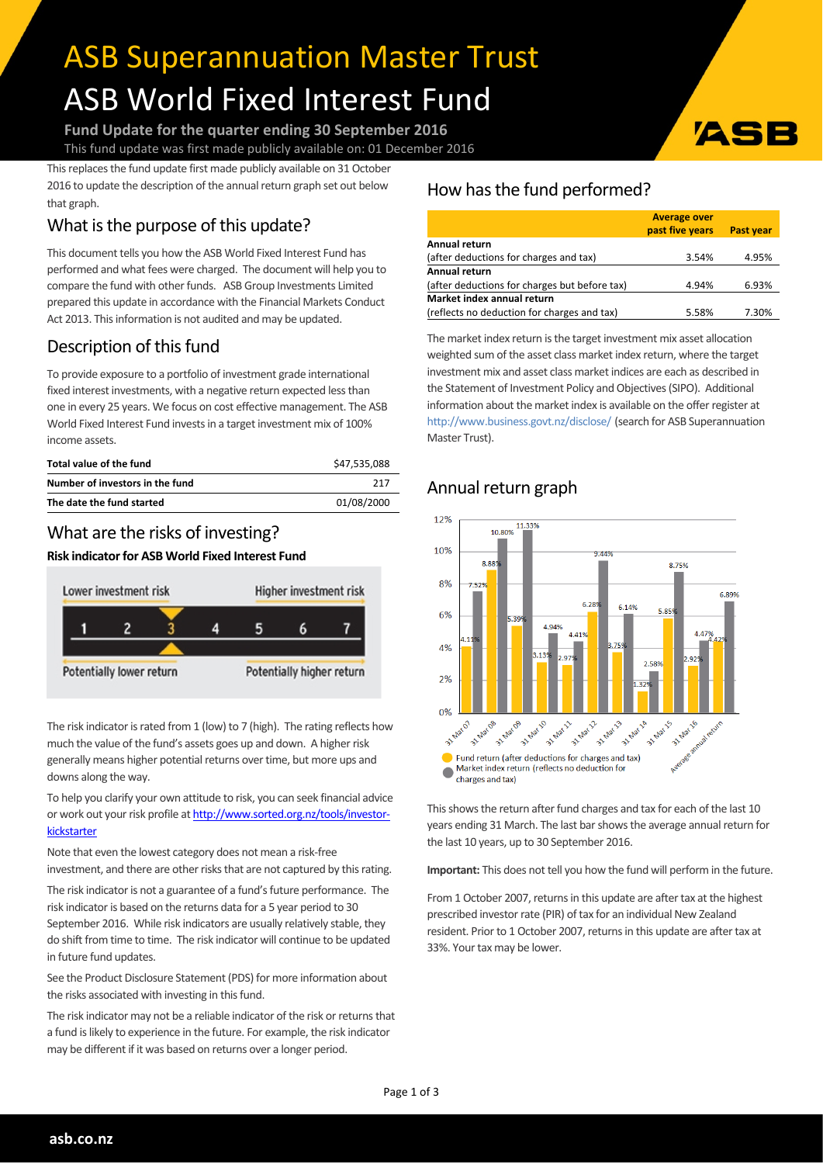# ASB Superannuation Master Trust ASB World Fixed Interest Fund

**Fund Update for the quarter ending 30 September 2016** This fund update was first made publicly available on: 01 December 2016

This replaces the fund update first made publicly available on 31 October 2016 to update the description of the annual return graph set out below that graph.

# What is the purpose of this update?

This document tells you how the ASB World Fixed Interest Fund has performed and what fees were charged. The document will help you to compare the fund with other funds. ASB Group Investments Limited prepared this update in accordance with the Financial Markets Conduct Act 2013. This information is not audited and may be updated.

# Description of this fund

To provide exposure to a portfolio of investment grade international fixed interest investments, with a negative return expected less than one in every 25 years. We focus on cost effective management. The ASB World Fixed Interest Fund invests in a target investment mix of 100% income assets.

| Total value of the fund         | \$47.535.088 |
|---------------------------------|--------------|
| Number of investors in the fund | 217          |
| The date the fund started       | 01/08/2000   |

### What are the risks of investing?

#### **Risk indicatorfor ASB World Fixed Interest Fund**



The risk indicator is rated from 1 (low) to 7 (high). The rating reflects how much the value of the fund's assets goes up and down. A higher risk generally means higher potential returns over time, but more ups and downs along the way.

To help you clarify your own attitude to risk, you can seek financial advice or work out your risk profile at [http://www.sorted.org.nz/tools/investor](http://www.sorted.org.nz/tools/investor-kickstarter)[kickstarter](http://www.sorted.org.nz/tools/investor-kickstarter)

Note that even the lowest category does not mean a risk-free investment, and there are other risks that are not captured by this rating.

The risk indicator is not a guarantee of a fund's future performance. The risk indicator is based on the returns data for a 5 year period to 30 September 2016. While risk indicators are usually relatively stable, they do shift from time to time. The risk indicator will continue to be updated in future fund updates.

See the Product Disclosure Statement (PDS) for more information about the risks associated with investing in this fund.

The risk indicator may not be a reliable indicator of the risk or returns that a fund is likely to experience in the future. For example, the risk indicator may be different if it was based on returns over a longer period.

## How has the fund performed?

|                                               | <b>Average over</b> |                  |
|-----------------------------------------------|---------------------|------------------|
|                                               | past five years     | <b>Past year</b> |
| Annual return                                 |                     |                  |
| (after deductions for charges and tax)        | 3.54%               | 4.95%            |
| Annual return                                 |                     |                  |
| (after deductions for charges but before tax) | 4.94%               | 6.93%            |
| Market index annual return                    |                     |                  |
| (reflects no deduction for charges and tax)   | 5.58%               | 7.30%            |

ASI

The market index return is the target investment mix asset allocation weighted sum of the asset class market index return, where the target investment mix and asset class market indices are each as described in the Statement of Investment Policy and Objectives(SIPO). Additional information about the market index is available on the offer register at <http://www.business.govt.nz/disclose/> (search for ASB Superannuation Master Trust).

## Annual return graph



This shows the return after fund charges and tax for each of the last 10 years ending 31 March. The last bar shows the average annual return for the last 10 years, up to 30 September 2016.

**Important:** This does not tell you how the fund will perform in the future.

From 1 October 2007, returns in this update are after tax at the highest prescribed investor rate (PIR) of tax for an individual New Zealand resident. Prior to 1 October 2007, returns in this update are after tax at 33%. Your tax may be lower.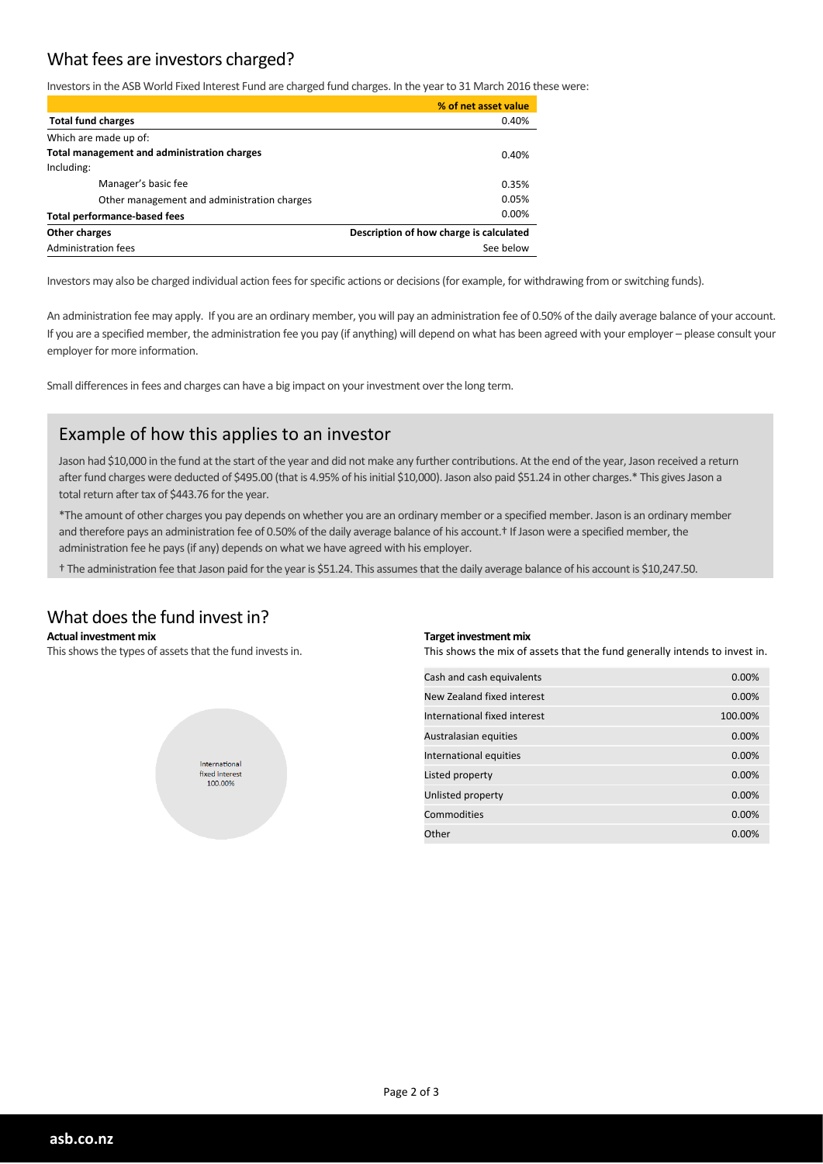### What fees are investors charged?

Investorsin the ASB World Fixed Interest Fund are charged fund charges. In the yearto 31 March 2016 these were:

|                                             | % of net asset value                    |  |
|---------------------------------------------|-----------------------------------------|--|
| <b>Total fund charges</b>                   | 0.40%                                   |  |
| Which are made up of:                       |                                         |  |
| Total management and administration charges | 0.40%                                   |  |
| Including:                                  |                                         |  |
| Manager's basic fee                         | 0.35%                                   |  |
| Other management and administration charges | 0.05%                                   |  |
| <b>Total performance-based fees</b>         | 0.00%                                   |  |
| Other charges                               | Description of how charge is calculated |  |
| Administration fees                         | See below                               |  |

Investors may also be charged individual action fees for specific actions or decisions (for example, for withdrawing from or switching funds).

An administration fee may apply. If you are an ordinary member, you will pay an administration fee of 0.50% of the daily average balance of your account. If you are a specified member, the administration fee you pay (if anything) will depend on what has been agreed with your employer – please consult your employer for more information.

Small differences in fees and charges can have a big impact on your investment over the long term.

#### Example of how this applies to an investor

Jason had \$10,000 in the fund at the start of the year and did not make any further contributions. At the end of the year, Jason received a return after fund charges were deducted of \$495.00 (that is 4.95% of his initial \$10,000). Jason also paid \$51.24 in other charges.\* This gives Jason a total return after tax of \$443.76 for the year.

\*The amount of other charges you pay depends on whether you are an ordinary member or a specified member. Jason is an ordinary member and therefore pays an administration fee of 0.50% of the daily average balance of his account.<sup>†</sup> If Jason were a specified member, the administration fee he pays(if any) depends on what we have agreed with his employer.

† The administration fee that Jason paid forthe yearis \$51.24. This assumesthat the daily average balance of his account is \$10,247.50.

#### What does the fund invest in?

#### **Actual investment mix**

This shows the types of assets that the fund invests in.



#### **Target investment mix**

This shows the mix of assets that the fund generally intends to invest in.

| Cash and cash equivalents    | 0.00%   |
|------------------------------|---------|
| New Zealand fixed interest   | 0.00%   |
| International fixed interest | 100.00% |
| Australasian equities        | 0.00%   |
| International equities       | 0.00%   |
| Listed property              | 0.00%   |
| Unlisted property            | 0.00%   |
| Commodities                  | 0.00%   |
| Other                        | 0.00%   |